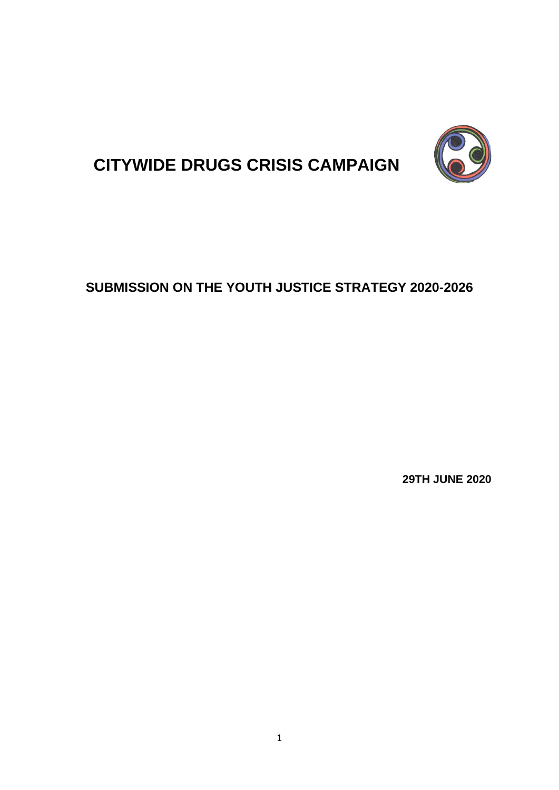

# **CITYWIDE DRUGS CRISIS CAMPAIGN**

# **SUBMISSION ON THE YOUTH JUSTICE STRATEGY 2020-2026**

**29TH JUNE 2020**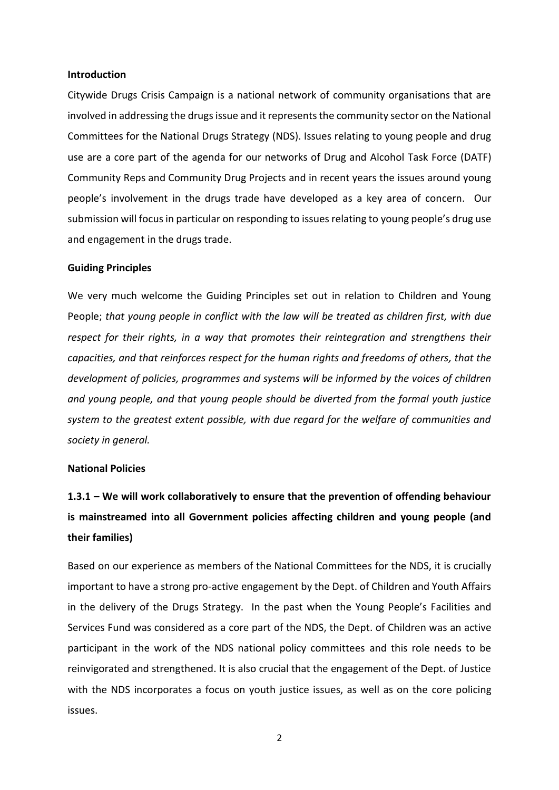### **Introduction**

Citywide Drugs Crisis Campaign is a national network of community organisations that are involved in addressing the drugs issue and it represents the community sector on the National Committees for the National Drugs Strategy (NDS). Issues relating to young people and drug use are a core part of the agenda for our networks of Drug and Alcohol Task Force (DATF) Community Reps and Community Drug Projects and in recent years the issues around young people's involvement in the drugs trade have developed as a key area of concern. Our submission will focus in particular on responding to issues relating to young people's drug use and engagement in the drugs trade.

#### **Guiding Principles**

We very much welcome the Guiding Principles set out in relation to Children and Young People; *that young people in conflict with the law will be treated as children first, with due respect for their rights, in a way that promotes their reintegration and strengthens their capacities, and that reinforces respect for the human rights and freedoms of others, that the development of policies, programmes and systems will be informed by the voices of children and young people, and that young people should be diverted from the formal youth justice system to the greatest extent possible, with due regard for the welfare of communities and society in general.*

### **National Policies**

## **1.3.1 – We will work collaboratively to ensure that the prevention of offending behaviour is mainstreamed into all Government policies affecting children and young people (and their families)**

Based on our experience as members of the National Committees for the NDS, it is crucially important to have a strong pro-active engagement by the Dept. of Children and Youth Affairs in the delivery of the Drugs Strategy. In the past when the Young People's Facilities and Services Fund was considered as a core part of the NDS, the Dept. of Children was an active participant in the work of the NDS national policy committees and this role needs to be reinvigorated and strengthened. It is also crucial that the engagement of the Dept. of Justice with the NDS incorporates a focus on youth justice issues, as well as on the core policing issues.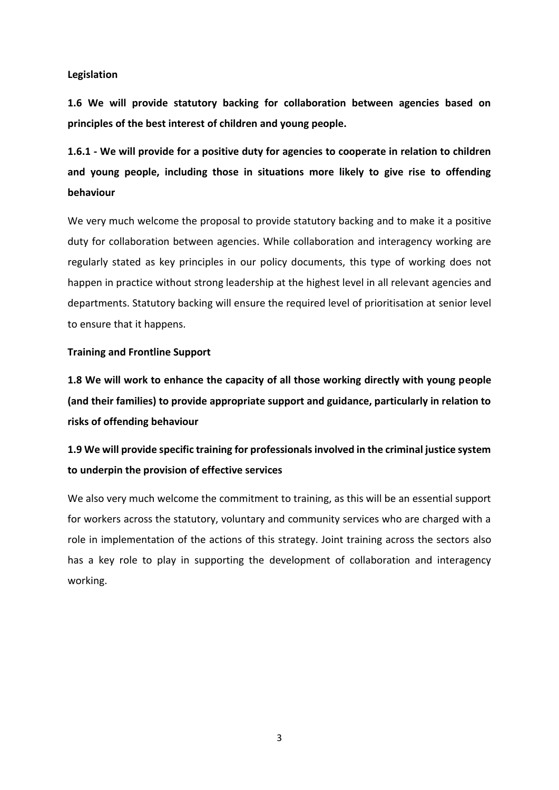### **Legislation**

**1.6 We will provide statutory backing for collaboration between agencies based on principles of the best interest of children and young people.** 

**1.6.1 - We will provide for a positive duty for agencies to cooperate in relation to children and young people, including those in situations more likely to give rise to offending behaviour**

We very much welcome the proposal to provide statutory backing and to make it a positive duty for collaboration between agencies. While collaboration and interagency working are regularly stated as key principles in our policy documents, this type of working does not happen in practice without strong leadership at the highest level in all relevant agencies and departments. Statutory backing will ensure the required level of prioritisation at senior level to ensure that it happens.

### **Training and Frontline Support**

**1.8 We will work to enhance the capacity of all those working directly with young people (and their families) to provide appropriate support and guidance, particularly in relation to risks of offending behaviour**

### **1.9 We will provide specific training for professionals involved in the criminal justice system to underpin the provision of effective services**

We also very much welcome the commitment to training, as this will be an essential support for workers across the statutory, voluntary and community services who are charged with a role in implementation of the actions of this strategy. Joint training across the sectors also has a key role to play in supporting the development of collaboration and interagency working.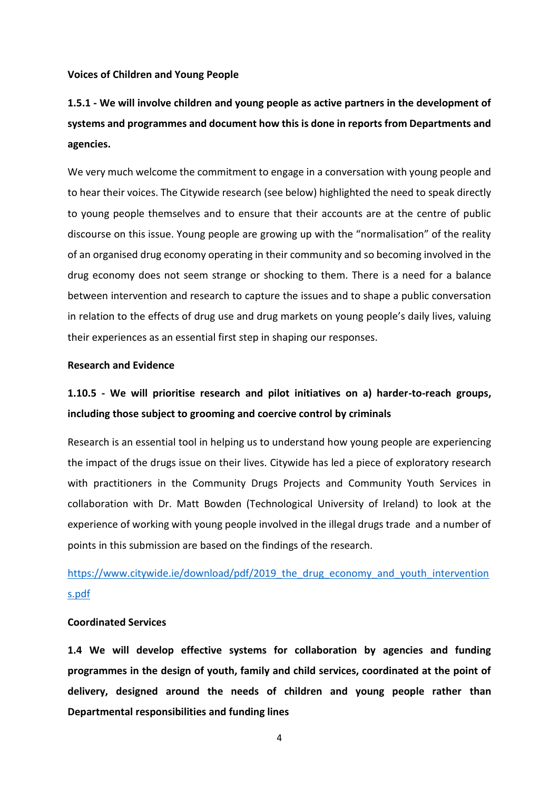### **Voices of Children and Young People**

## **1.5.1 - We will involve children and young people as active partners in the development of systems and programmes and document how this is done in reports from Departments and agencies.**

We very much welcome the commitment to engage in a conversation with young people and to hear their voices. The Citywide research (see below) highlighted the need to speak directly to young people themselves and to ensure that their accounts are at the centre of public discourse on this issue. Young people are growing up with the "normalisation" of the reality of an organised drug economy operating in their community and so becoming involved in the drug economy does not seem strange or shocking to them. There is a need for a balance between intervention and research to capture the issues and to shape a public conversation in relation to the effects of drug use and drug markets on young people's daily lives, valuing their experiences as an essential first step in shaping our responses.

### **Research and Evidence**

### **1.10.5 - We will prioritise research and pilot initiatives on a) harder-to-reach groups, including those subject to grooming and coercive control by criminals**

Research is an essential tool in helping us to understand how young people are experiencing the impact of the drugs issue on their lives. Citywide has led a piece of exploratory research with practitioners in the Community Drugs Projects and Community Youth Services in collaboration with Dr. Matt Bowden (Technological University of Ireland) to look at the experience of working with young people involved in the illegal drugs trade and a number of points in this submission are based on the findings of the research.

### [https://www.citywide.ie/download/pdf/2019\\_the\\_drug\\_economy\\_and\\_youth\\_intervention](https://www.citywide.ie/download/pdf/2019_the_drug_economy_and_youth_interventions.pdf) [s.pdf](https://www.citywide.ie/download/pdf/2019_the_drug_economy_and_youth_interventions.pdf)

### **Coordinated Services**

**1.4 We will develop effective systems for collaboration by agencies and funding programmes in the design of youth, family and child services, coordinated at the point of delivery, designed around the needs of children and young people rather than Departmental responsibilities and funding lines**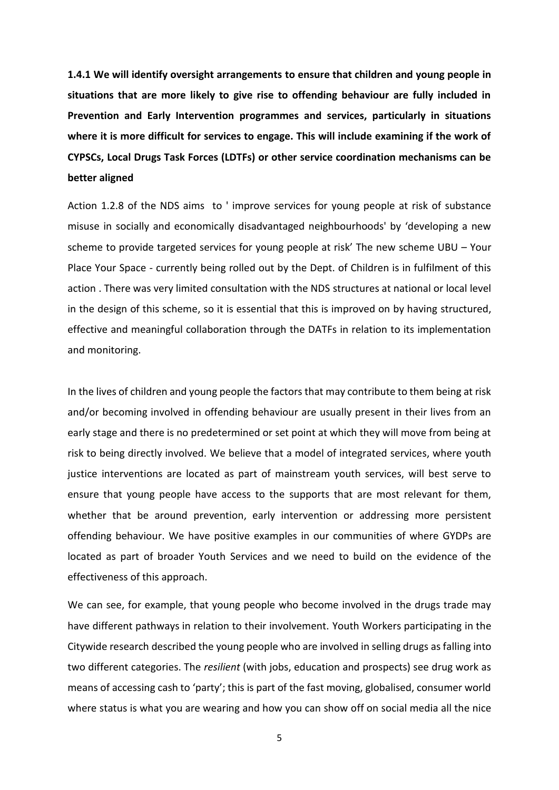**1.4.1 We will identify oversight arrangements to ensure that children and young people in situations that are more likely to give rise to offending behaviour are fully included in Prevention and Early Intervention programmes and services, particularly in situations where it is more difficult for services to engage. This will include examining if the work of CYPSCs, Local Drugs Task Forces (LDTFs) or other service coordination mechanisms can be better aligned**

Action 1.2.8 of the NDS aims to ' improve services for young people at risk of substance misuse in socially and economically disadvantaged neighbourhoods' by 'developing a new scheme to provide targeted services for young people at risk' The new scheme UBU – Your Place Your Space - currently being rolled out by the Dept. of Children is in fulfilment of this action . There was very limited consultation with the NDS structures at national or local level in the design of this scheme, so it is essential that this is improved on by having structured, effective and meaningful collaboration through the DATFs in relation to its implementation and monitoring.

In the lives of children and young people the factors that may contribute to them being at risk and/or becoming involved in offending behaviour are usually present in their lives from an early stage and there is no predetermined or set point at which they will move from being at risk to being directly involved. We believe that a model of integrated services, where youth justice interventions are located as part of mainstream youth services, will best serve to ensure that young people have access to the supports that are most relevant for them, whether that be around prevention, early intervention or addressing more persistent offending behaviour. We have positive examples in our communities of where GYDPs are located as part of broader Youth Services and we need to build on the evidence of the effectiveness of this approach.

We can see, for example, that young people who become involved in the drugs trade may have different pathways in relation to their involvement. Youth Workers participating in the Citywide research described the young people who are involved in selling drugs as falling into two different categories. The *resilient* (with jobs, education and prospects) see drug work as means of accessing cash to 'party'; this is part of the fast moving, globalised, consumer world where status is what you are wearing and how you can show off on social media all the nice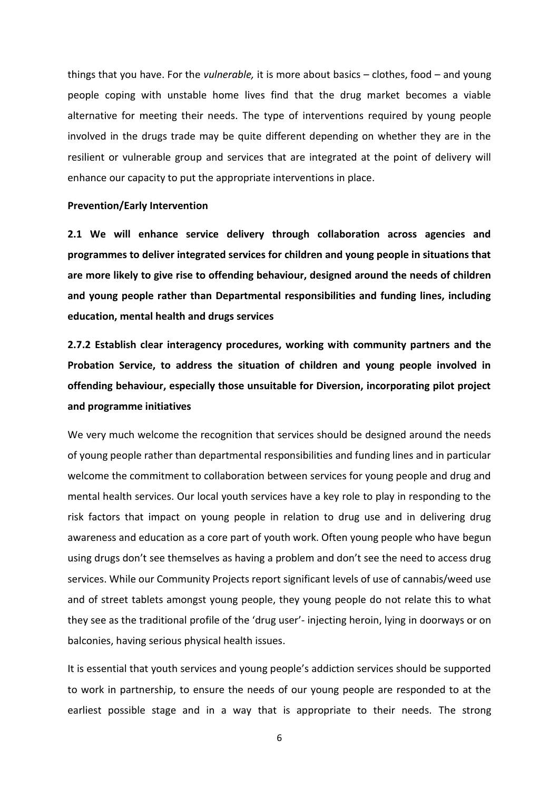things that you have. For the *vulnerable,* it is more about basics – clothes, food – and young people coping with unstable home lives find that the drug market becomes a viable alternative for meeting their needs. The type of interventions required by young people involved in the drugs trade may be quite different depending on whether they are in the resilient or vulnerable group and services that are integrated at the point of delivery will enhance our capacity to put the appropriate interventions in place.

#### **Prevention/Early Intervention**

**2.1 We will enhance service delivery through collaboration across agencies and programmes to deliver integrated services for children and young people in situations that are more likely to give rise to offending behaviour, designed around the needs of children and young people rather than Departmental responsibilities and funding lines, including education, mental health and drugs services**

**2.7.2 Establish clear interagency procedures, working with community partners and the Probation Service, to address the situation of children and young people involved in offending behaviour, especially those unsuitable for Diversion, incorporating pilot project and programme initiatives** 

We very much welcome the recognition that services should be designed around the needs of young people rather than departmental responsibilities and funding lines and in particular welcome the commitment to collaboration between services for young people and drug and mental health services. Our local youth services have a key role to play in responding to the risk factors that impact on young people in relation to drug use and in delivering drug awareness and education as a core part of youth work. Often young people who have begun using drugs don't see themselves as having a problem and don't see the need to access drug services. While our Community Projects report significant levels of use of cannabis/weed use and of street tablets amongst young people, they young people do not relate this to what they see as the traditional profile of the 'drug user'- injecting heroin, lying in doorways or on balconies, having serious physical health issues.

It is essential that youth services and young people's addiction services should be supported to work in partnership, to ensure the needs of our young people are responded to at the earliest possible stage and in a way that is appropriate to their needs. The strong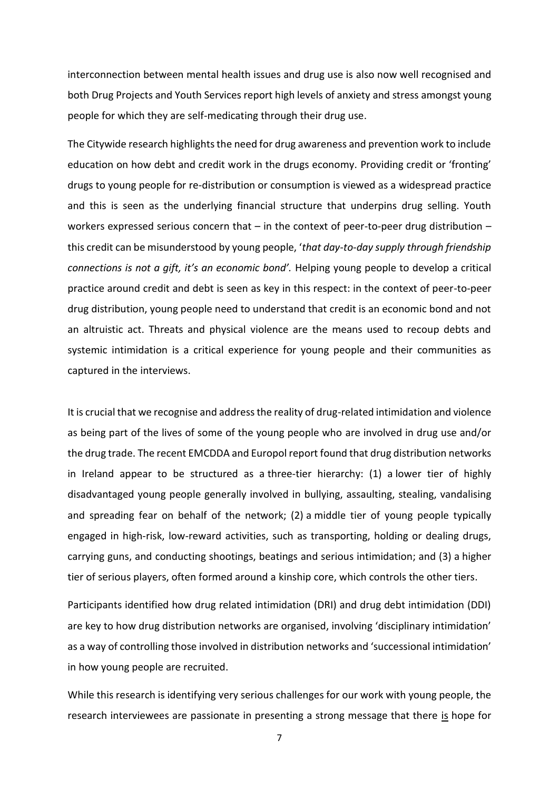interconnection between mental health issues and drug use is also now well recognised and both Drug Projects and Youth Services report high levels of anxiety and stress amongst young people for which they are self-medicating through their drug use.

The Citywide research highlights the need for drug awareness and prevention work to include education on how debt and credit work in the drugs economy. Providing credit or 'fronting' drugs to young people for re-distribution or consumption is viewed as a widespread practice and this is seen as the underlying financial structure that underpins drug selling. Youth workers expressed serious concern that – in the context of peer-to-peer drug distribution – this credit can be misunderstood by young people, '*that day-to-day supply through friendship connections is not a gift, it's an economic bond'.* Helping young people to develop a critical practice around credit and debt is seen as key in this respect: in the context of peer-to-peer drug distribution, young people need to understand that credit is an economic bond and not an altruistic act. Threats and physical violence are the means used to recoup debts and systemic intimidation is a critical experience for young people and their communities as captured in the interviews.

It is crucial that we recognise and address the reality of drug-related intimidation and violence as being part of the lives of some of the young people who are involved in drug use and/or the drug trade. The recent EMCDDA and Europol report found that drug distribution networks in Ireland appear to be structured as a three-tier hierarchy: (1) a lower tier of highly disadvantaged young people generally involved in bullying, assaulting, stealing, vandalising and spreading fear on behalf of the network; (2) a middle tier of young people typically engaged in high-risk, low-reward activities, such as transporting, holding or dealing drugs, carrying guns, and conducting shootings, beatings and serious intimidation; and (3) a higher tier of serious players, often formed around a kinship core, which controls the other tiers.

Participants identified how drug related intimidation (DRI) and drug debt intimidation (DDI) are key to how drug distribution networks are organised, involving 'disciplinary intimidation' as a way of controlling those involved in distribution networks and 'successional intimidation' in how young people are recruited.

While this research is identifying very serious challenges for our work with young people, the research interviewees are passionate in presenting a strong message that there is hope for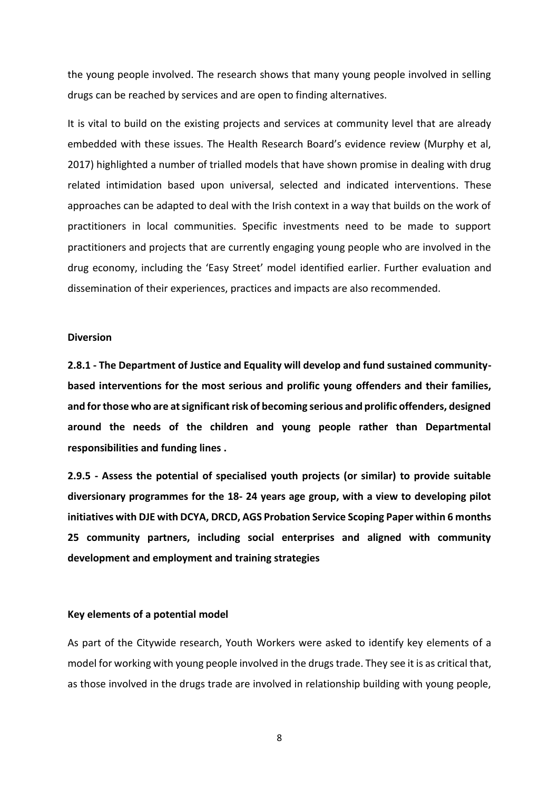the young people involved. The research shows that many young people involved in selling drugs can be reached by services and are open to finding alternatives.

It is vital to build on the existing projects and services at community level that are already embedded with these issues. The Health Research Board's evidence review (Murphy et al, 2017) highlighted a number of trialled models that have shown promise in dealing with drug related intimidation based upon universal, selected and indicated interventions. These approaches can be adapted to deal with the Irish context in a way that builds on the work of practitioners in local communities. Specific investments need to be made to support practitioners and projects that are currently engaging young people who are involved in the drug economy, including the 'Easy Street' model identified earlier. Further evaluation and dissemination of their experiences, practices and impacts are also recommended.

#### **Diversion**

**2.8.1 - The Department of Justice and Equality will develop and fund sustained communitybased interventions for the most serious and prolific young offenders and their families, and for those who are at significant risk of becoming serious and prolific offenders, designed around the needs of the children and young people rather than Departmental responsibilities and funding lines .**

**2.9.5 - Assess the potential of specialised youth projects (or similar) to provide suitable diversionary programmes for the 18- 24 years age group, with a view to developing pilot initiatives with DJE with DCYA, DRCD, AGS Probation Service Scoping Paper within 6 months 25 community partners, including social enterprises and aligned with community development and employment and training strategies**

#### **Key elements of a potential model**

As part of the Citywide research, Youth Workers were asked to identify key elements of a model for working with young people involved in the drugs trade. They see it is as critical that, as those involved in the drugs trade are involved in relationship building with young people,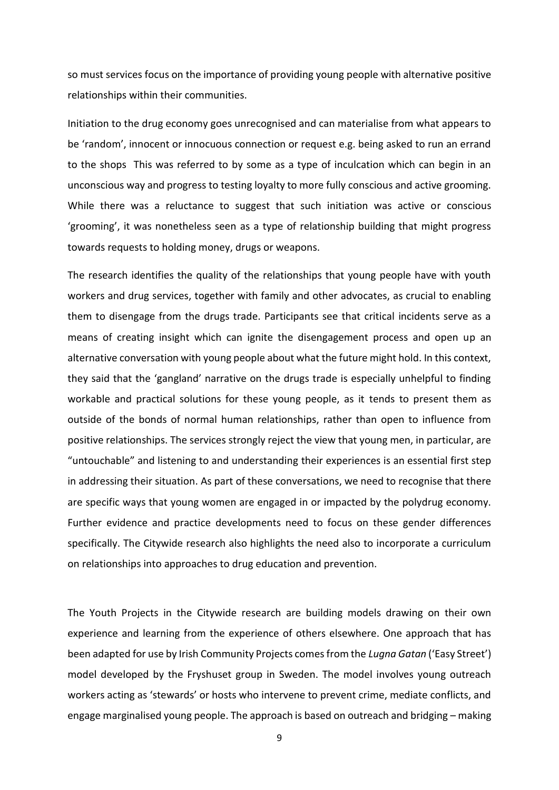so must services focus on the importance of providing young people with alternative positive relationships within their communities.

Initiation to the drug economy goes unrecognised and can materialise from what appears to be 'random', innocent or innocuous connection or request e.g. being asked to run an errand to the shops This was referred to by some as a type of inculcation which can begin in an unconscious way and progress to testing loyalty to more fully conscious and active grooming. While there was a reluctance to suggest that such initiation was active or conscious 'grooming', it was nonetheless seen as a type of relationship building that might progress towards requests to holding money, drugs or weapons.

The research identifies the quality of the relationships that young people have with youth workers and drug services, together with family and other advocates, as crucial to enabling them to disengage from the drugs trade. Participants see that critical incidents serve as a means of creating insight which can ignite the disengagement process and open up an alternative conversation with young people about what the future might hold. In this context, they said that the 'gangland' narrative on the drugs trade is especially unhelpful to finding workable and practical solutions for these young people, as it tends to present them as outside of the bonds of normal human relationships, rather than open to influence from positive relationships. The services strongly reject the view that young men, in particular, are "untouchable" and listening to and understanding their experiences is an essential first step in addressing their situation. As part of these conversations, we need to recognise that there are specific ways that young women are engaged in or impacted by the polydrug economy. Further evidence and practice developments need to focus on these gender differences specifically. The Citywide research also highlights the need also to incorporate a curriculum on relationships into approaches to drug education and prevention.

The Youth Projects in the Citywide research are building models drawing on their own experience and learning from the experience of others elsewhere. One approach that has been adapted for use by Irish Community Projects comes from the *Lugna Gatan* ('Easy Street') model developed by the Fryshuset group in Sweden. The model involves young outreach workers acting as 'stewards' or hosts who intervene to prevent crime, mediate conflicts, and engage marginalised young people. The approach is based on outreach and bridging – making